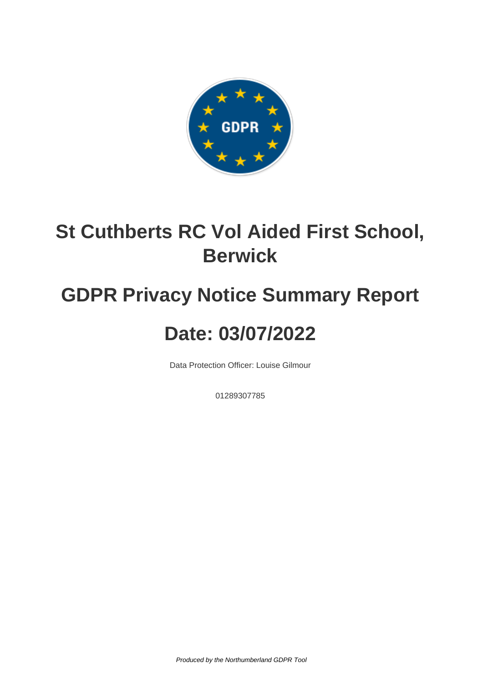

### **St Cuthberts RC Vol Aided First School, Berwick**

# **GDPR Privacy Notice Summary Report**

## **Date: 03/07/2022**

Data Protection Officer: Louise Gilmour

01289307785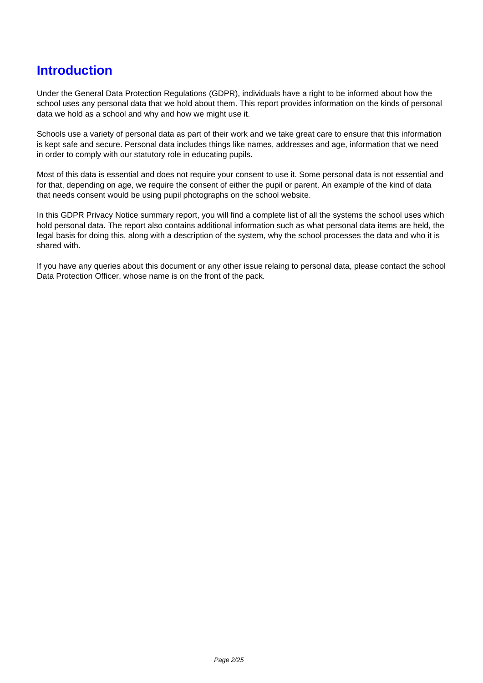#### **Introduction**

Under the General Data Protection Regulations (GDPR), individuals have a right to be informed about how the school uses any personal data that we hold about them. This report provides information on the kinds of personal data we hold as a school and why and how we might use it.

Schools use a variety of personal data as part of their work and we take great care to ensure that this information is kept safe and secure. Personal data includes things like names, addresses and age, information that we need in order to comply with our statutory role in educating pupils.

Most of this data is essential and does not require your consent to use it. Some personal data is not essential and for that, depending on age, we require the consent of either the pupil or parent. An example of the kind of data that needs consent would be using pupil photographs on the school website.

In this GDPR Privacy Notice summary report, you will find a complete list of all the systems the school uses which hold personal data. The report also contains additional information such as what personal data items are held, the legal basis for doing this, along with a description of the system, why the school processes the data and who it is shared with.

If you have any queries about this document or any other issue relaing to personal data, please contact the school Data Protection Officer, whose name is on the front of the pack.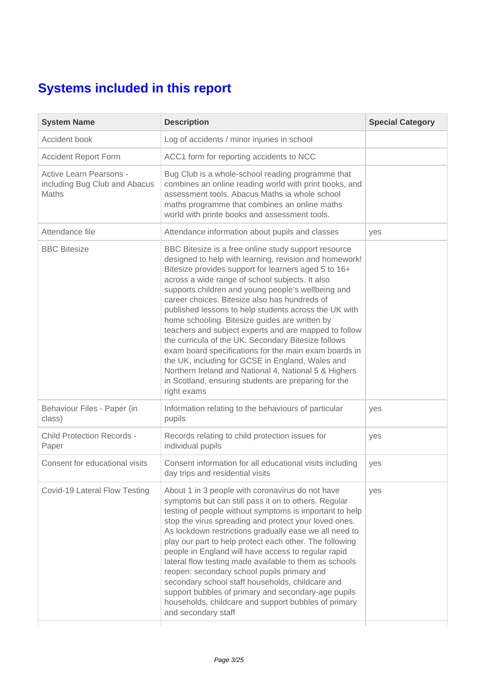#### **Systems included in this report**

| <b>System Name</b>                                                | <b>Description</b>                                                                                                                                                                                                                                                                                                                                                                                                                                                                                                                                                                                                                                                                                                                                                                                       | <b>Special Category</b> |
|-------------------------------------------------------------------|----------------------------------------------------------------------------------------------------------------------------------------------------------------------------------------------------------------------------------------------------------------------------------------------------------------------------------------------------------------------------------------------------------------------------------------------------------------------------------------------------------------------------------------------------------------------------------------------------------------------------------------------------------------------------------------------------------------------------------------------------------------------------------------------------------|-------------------------|
| Accident book                                                     | Log of accidents / minor injuries in school                                                                                                                                                                                                                                                                                                                                                                                                                                                                                                                                                                                                                                                                                                                                                              |                         |
| <b>Accident Report Form</b>                                       | ACC1 form for reporting accidents to NCC                                                                                                                                                                                                                                                                                                                                                                                                                                                                                                                                                                                                                                                                                                                                                                 |                         |
| Active Learn Pearsons -<br>including Bug Club and Abacus<br>Maths | Bug Club is a whole-school reading programme that<br>combines an online reading world with print books, and<br>assessment tools. Abacus Maths ia whole school<br>maths programme that combines an online maths<br>world with printe books and assessment tools.                                                                                                                                                                                                                                                                                                                                                                                                                                                                                                                                          |                         |
| Attendance file                                                   | Attendance information about pupils and classes                                                                                                                                                                                                                                                                                                                                                                                                                                                                                                                                                                                                                                                                                                                                                          | yes                     |
| <b>BBC Bitesize</b>                                               | BBC Bitesize is a free online study support resource<br>designed to help with learning, revision and homework!<br>Bitesize provides support for learners aged 5 to 16+<br>across a wide range of school subjects. It also<br>supports children and young people's wellbeing and<br>career choices. Bitesize also has hundreds of<br>published lessons to help students across the UK with<br>home schooling. Bitesize guides are written by<br>teachers and subject experts and are mapped to follow<br>the curricula of the UK. Secondary Bitesize follows<br>exam board specifications for the main exam boards in<br>the UK, including for GCSE in England, Wales and<br>Northern Ireland and National 4, National 5 & Highers<br>in Scotland, ensuring students are preparing for the<br>right exams |                         |
| Behaviour Files - Paper (in<br>class)                             | Information relating to the behaviours of particular<br>pupils                                                                                                                                                                                                                                                                                                                                                                                                                                                                                                                                                                                                                                                                                                                                           | yes                     |
| <b>Child Protection Records -</b><br>Paper                        | Records relating to child protection issues for<br>individual pupils                                                                                                                                                                                                                                                                                                                                                                                                                                                                                                                                                                                                                                                                                                                                     | yes                     |
| Consent for educational visits                                    | Consent information for all educational visits including<br>day trips and residential visits                                                                                                                                                                                                                                                                                                                                                                                                                                                                                                                                                                                                                                                                                                             | yes                     |
| Covid-19 Lateral Flow Testing                                     | About 1 in 3 people with coronavirus do not have<br>symptoms but can still pass it on to others. Regular<br>testing of people without symptoms is important to help<br>stop the virus spreading and protect your loved ones.<br>As lockdown restrictions gradually ease we all need to<br>play our part to help protect each other. The following<br>people in England will have access to regular rapid<br>lateral flow testing made available to them as schools<br>reopen: secondary school pupils primary and<br>secondary school staff households, childcare and<br>support bubbles of primary and secondary-age pupils<br>households, childcare and support bubbles of primary<br>and secondary staff                                                                                              | yes                     |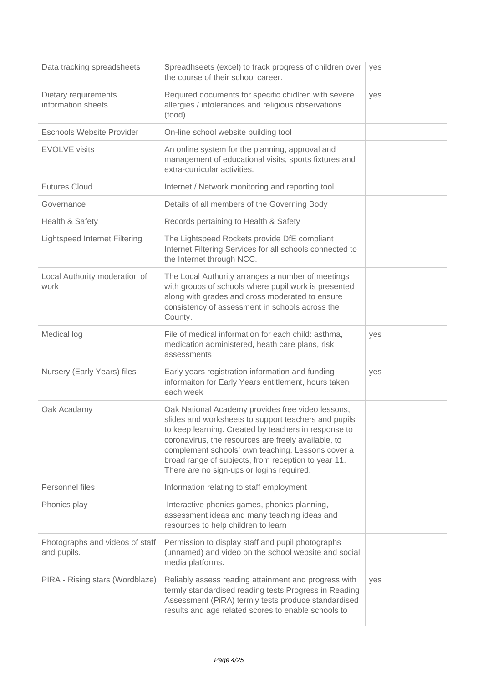| Data tracking spreadsheets                     | Spreadhseets (excel) to track progress of children over<br>the course of their school career.                                                                                                                                                                                                                                                                                     | yes |
|------------------------------------------------|-----------------------------------------------------------------------------------------------------------------------------------------------------------------------------------------------------------------------------------------------------------------------------------------------------------------------------------------------------------------------------------|-----|
| Dietary requirements<br>information sheets     | Required documents for specific chidlren with severe<br>allergies / intolerances and religious observations<br>(food)                                                                                                                                                                                                                                                             | yes |
| <b>Eschools Website Provider</b>               | On-line school website building tool                                                                                                                                                                                                                                                                                                                                              |     |
| <b>EVOLVE</b> visits                           | An online system for the planning, approval and<br>management of educational visits, sports fixtures and<br>extra-curricular activities.                                                                                                                                                                                                                                          |     |
| <b>Futures Cloud</b>                           | Internet / Network monitoring and reporting tool                                                                                                                                                                                                                                                                                                                                  |     |
| Governance                                     | Details of all members of the Governing Body                                                                                                                                                                                                                                                                                                                                      |     |
| Health & Safety                                | Records pertaining to Health & Safety                                                                                                                                                                                                                                                                                                                                             |     |
| <b>Lightspeed Internet Filtering</b>           | The Lightspeed Rockets provide DfE compliant<br>Internet Filtering Services for all schools connected to<br>the Internet through NCC.                                                                                                                                                                                                                                             |     |
| Local Authority moderation of<br>work          | The Local Authority arranges a number of meetings<br>with groups of schools where pupil work is presented<br>along with grades and cross moderated to ensure<br>consistency of assessment in schools across the<br>County.                                                                                                                                                        |     |
| Medical log                                    | File of medical information for each child: asthma,<br>medication administered, heath care plans, risk<br>assessments                                                                                                                                                                                                                                                             | yes |
| Nursery (Early Years) files                    | Early years registration information and funding<br>informaiton for Early Years entitlement, hours taken<br>each week                                                                                                                                                                                                                                                             | yes |
| Oak Acadamy                                    | Oak National Academy provides free video lessons,<br>slides and worksheets to support teachers and pupils<br>to keep learning. Created by teachers in response to<br>coronavirus, the resources are freely available, to<br>complement schools' own teaching. Lessons cover a<br>broad range of subjects, from reception to year 11.<br>There are no sign-ups or logins required. |     |
| Personnel files                                | Information relating to staff employment                                                                                                                                                                                                                                                                                                                                          |     |
| Phonics play                                   | Interactive phonics games, phonics planning,<br>assessment ideas and many teaching ideas and<br>resources to help children to learn                                                                                                                                                                                                                                               |     |
| Photographs and videos of staff<br>and pupils. | Permission to display staff and pupil photographs<br>(unnamed) and video on the school website and social<br>media platforms.                                                                                                                                                                                                                                                     |     |
| PIRA - Rising stars (Wordblaze)                | Reliably assess reading attainment and progress with<br>termly standardised reading tests Progress in Reading<br>Assessment (PiRA) termly tests produce standardised<br>results and age related scores to enable schools to                                                                                                                                                       | yes |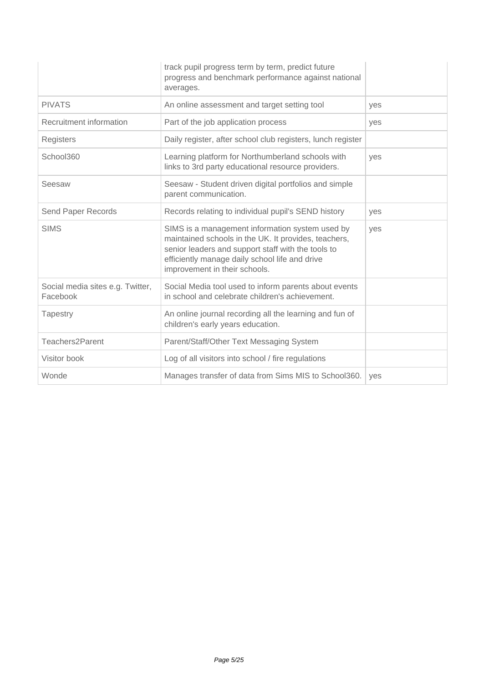|                                              | track pupil progress term by term, predict future<br>progress and benchmark performance against national<br>averages.                                                                                                                            |     |
|----------------------------------------------|--------------------------------------------------------------------------------------------------------------------------------------------------------------------------------------------------------------------------------------------------|-----|
| <b>PIVATS</b>                                | An online assessment and target setting tool                                                                                                                                                                                                     | ves |
| Recruitment information                      | Part of the job application process                                                                                                                                                                                                              | yes |
| Registers                                    | Daily register, after school club registers, lunch register                                                                                                                                                                                      |     |
| School360                                    | Learning platform for Northumberland schools with<br>links to 3rd party educational resource providers.                                                                                                                                          | yes |
| Seesaw                                       | Seesaw - Student driven digital portfolios and simple<br>parent communication.                                                                                                                                                                   |     |
| Send Paper Records                           | Records relating to individual pupil's SEND history                                                                                                                                                                                              | yes |
| <b>SIMS</b>                                  | SIMS is a management information system used by<br>maintained schools in the UK. It provides, teachers,<br>senior leaders and support staff with the tools to<br>efficiently manage daily school life and drive<br>improvement in their schools. | yes |
| Social media sites e.g. Twitter,<br>Facebook | Social Media tool used to inform parents about events<br>in school and celebrate children's achievement.                                                                                                                                         |     |
| Tapestry                                     | An online journal recording all the learning and fun of<br>children's early years education.                                                                                                                                                     |     |
| Teachers2Parent                              | Parent/Staff/Other Text Messaging System                                                                                                                                                                                                         |     |
| Visitor book                                 | Log of all visitors into school / fire regulations                                                                                                                                                                                               |     |
| Wonde                                        | Manages transfer of data from Sims MIS to School360.                                                                                                                                                                                             | yes |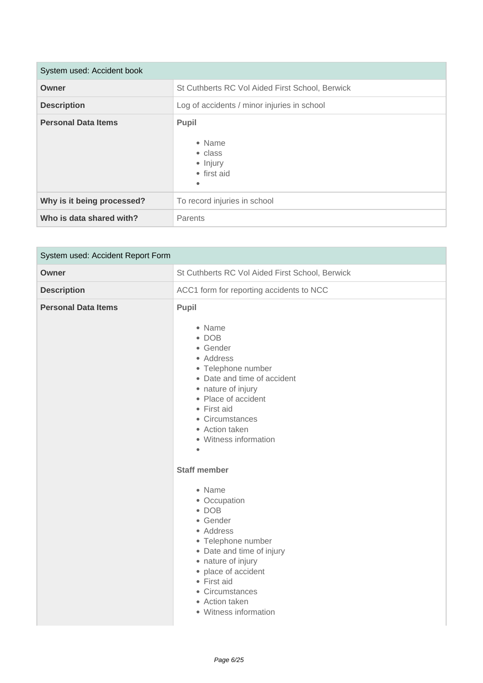| System used: Accident book |                                                                    |
|----------------------------|--------------------------------------------------------------------|
| Owner                      | St Cuthberts RC Vol Aided First School, Berwick                    |
| <b>Description</b>         | Log of accidents / minor injuries in school                        |
| <b>Personal Data Items</b> | Pupil<br>• Name<br>• class<br>• Injury<br>• first aid<br>$\bullet$ |
| Why is it being processed? | To record injuries in school                                       |
| Who is data shared with?   | Parents                                                            |

| System used: Accident Report Form |                                                                                                                                                                                                                                                                      |
|-----------------------------------|----------------------------------------------------------------------------------------------------------------------------------------------------------------------------------------------------------------------------------------------------------------------|
| Owner                             | St Cuthberts RC Vol Aided First School, Berwick                                                                                                                                                                                                                      |
| <b>Description</b>                | ACC1 form for reporting accidents to NCC                                                                                                                                                                                                                             |
| <b>Personal Data Items</b>        | Pupil<br>• Name<br>$\bullet$ DOB<br>• Gender<br>• Address<br>• Telephone number<br>• Date and time of accident<br>• nature of injury<br>• Place of accident<br>• First aid<br>• Circumstances<br>• Action taken<br>• Witness information<br>$\bullet$                |
|                                   | <b>Staff member</b><br>• Name<br>• Occupation<br>$\bullet$ DOB<br>• Gender<br>• Address<br>• Telephone number<br>• Date and time of injury<br>• nature of injury<br>• place of accident<br>• First aid<br>• Circumstances<br>• Action taken<br>• Witness information |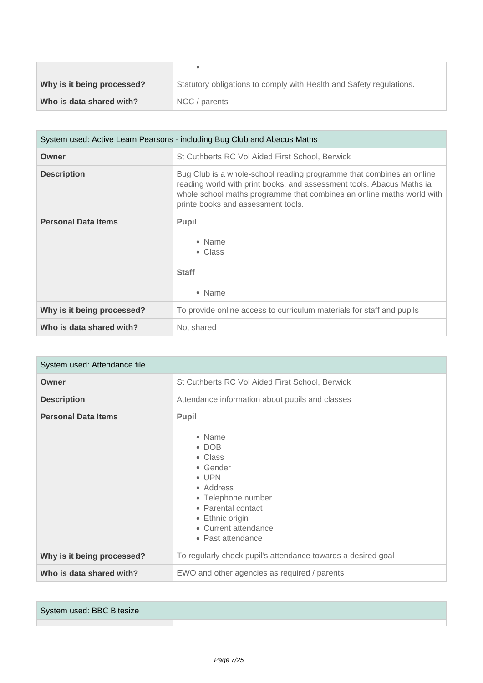| Why is it being processed? | Statutory obligations to comply with Health and Safety regulations. |
|----------------------------|---------------------------------------------------------------------|
| Who is data shared with?   | NCC / parents                                                       |

| System used: Active Learn Pearsons - including Bug Club and Abacus Maths |                                                                                                                                                                                                                                                              |
|--------------------------------------------------------------------------|--------------------------------------------------------------------------------------------------------------------------------------------------------------------------------------------------------------------------------------------------------------|
| Owner                                                                    | St Cuthberts RC Vol Aided First School, Berwick                                                                                                                                                                                                              |
| <b>Description</b>                                                       | Bug Club is a whole-school reading programme that combines an online<br>reading world with print books, and assessment tools. Abacus Maths ia<br>whole school maths programme that combines an online maths world with<br>printe books and assessment tools. |
| <b>Personal Data Items</b>                                               | <b>Pupil</b><br>• Name<br>• Class<br><b>Staff</b><br>• Name                                                                                                                                                                                                  |
| Why is it being processed?                                               | To provide online access to curriculum materials for staff and pupils                                                                                                                                                                                        |
| Who is data shared with?                                                 | Not shared                                                                                                                                                                                                                                                   |

| System used: Attendance file |                                                                                                                                                                                                  |  |
|------------------------------|--------------------------------------------------------------------------------------------------------------------------------------------------------------------------------------------------|--|
| Owner                        | St Cuthberts RC Vol Aided First School, Berwick                                                                                                                                                  |  |
| <b>Description</b>           | Attendance information about pupils and classes                                                                                                                                                  |  |
| <b>Personal Data Items</b>   | <b>Pupil</b><br>• Name<br>$\bullet$ DOB<br>• Class<br>• Gender<br>• UPN<br>• Address<br>• Telephone number<br>• Parental contact<br>• Ethnic origin<br>• Current attendance<br>• Past attendance |  |
| Why is it being processed?   | To regularly check pupil's attendance towards a desired goal                                                                                                                                     |  |
| Who is data shared with?     | EWO and other agencies as required / parents                                                                                                                                                     |  |

System used: BBC Bitesize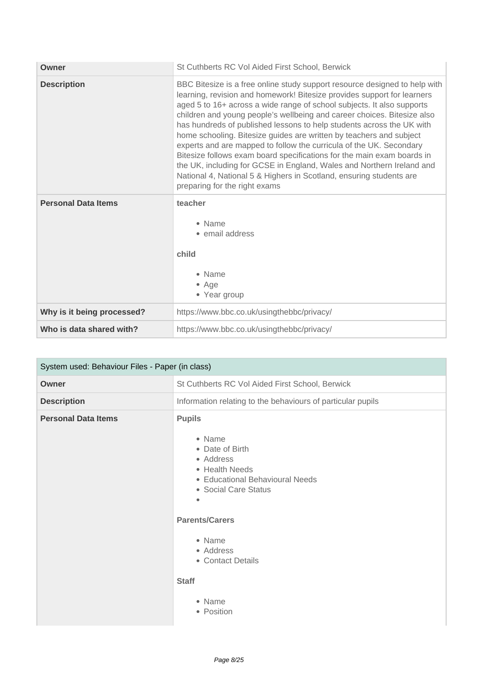| Owner                      | St Cuthberts RC Vol Aided First School, Berwick                                                                                                                                                                                                                                                                                                                                                                                                                                                                                                                                                                                                                                                                                                                                              |
|----------------------------|----------------------------------------------------------------------------------------------------------------------------------------------------------------------------------------------------------------------------------------------------------------------------------------------------------------------------------------------------------------------------------------------------------------------------------------------------------------------------------------------------------------------------------------------------------------------------------------------------------------------------------------------------------------------------------------------------------------------------------------------------------------------------------------------|
| <b>Description</b>         | BBC Bitesize is a free online study support resource designed to help with<br>learning, revision and homework! Bitesize provides support for learners<br>aged 5 to 16+ across a wide range of school subjects. It also supports<br>children and young people's wellbeing and career choices. Bitesize also<br>has hundreds of published lessons to help students across the UK with<br>home schooling. Bitesize guides are written by teachers and subject<br>experts and are mapped to follow the curricula of the UK. Secondary<br>Bitesize follows exam board specifications for the main exam boards in<br>the UK, including for GCSE in England, Wales and Northern Ireland and<br>National 4, National 5 & Highers in Scotland, ensuring students are<br>preparing for the right exams |
| <b>Personal Data Items</b> | teacher<br>• Name<br>• email address<br>child<br>• Name<br>$\bullet$ Age<br>• Year group                                                                                                                                                                                                                                                                                                                                                                                                                                                                                                                                                                                                                                                                                                     |
| Why is it being processed? | https://www.bbc.co.uk/usingthebbc/privacy/                                                                                                                                                                                                                                                                                                                                                                                                                                                                                                                                                                                                                                                                                                                                                   |
| Who is data shared with?   | https://www.bbc.co.uk/usingthebbc/privacy/                                                                                                                                                                                                                                                                                                                                                                                                                                                                                                                                                                                                                                                                                                                                                   |

| System used: Behaviour Files - Paper (in class) |                                                                                                                                                                                                                                                   |
|-------------------------------------------------|---------------------------------------------------------------------------------------------------------------------------------------------------------------------------------------------------------------------------------------------------|
| Owner                                           | St Cuthberts RC Vol Aided First School, Berwick                                                                                                                                                                                                   |
| <b>Description</b>                              | Information relating to the behaviours of particular pupils                                                                                                                                                                                       |
| <b>Personal Data Items</b>                      | <b>Pupils</b><br>• Name<br>• Date of Birth<br>• Address<br>• Health Needs<br>• Educational Behavioural Needs<br>• Social Care Status<br><b>Parents/Carers</b><br>• Name<br>• Address<br>• Contact Details<br><b>Staff</b><br>• Name<br>• Position |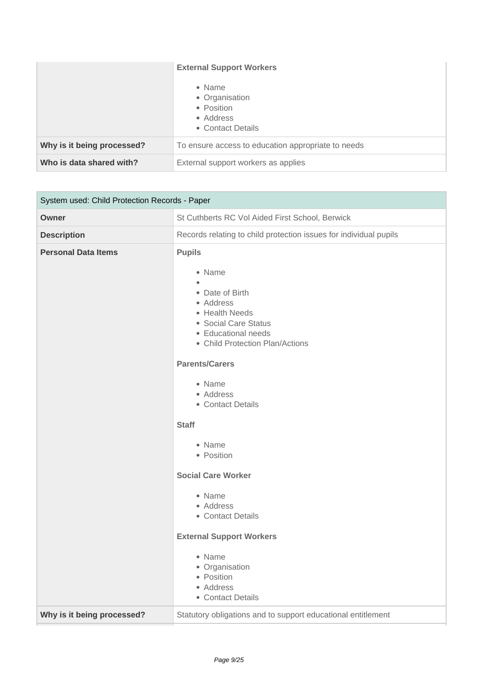|                            | <b>External Support Workers</b><br>• Name<br>• Organisation<br>• Position<br>• Address<br>• Contact Details |
|----------------------------|-------------------------------------------------------------------------------------------------------------|
| Why is it being processed? | To ensure access to education appropriate to needs                                                          |
| Who is data shared with?   | External support workers as applies                                                                         |

| System used: Child Protection Records - Paper |                                                                                                                                                                                                                                                                                                                                                                                                                                                                  |
|-----------------------------------------------|------------------------------------------------------------------------------------------------------------------------------------------------------------------------------------------------------------------------------------------------------------------------------------------------------------------------------------------------------------------------------------------------------------------------------------------------------------------|
| Owner                                         | St Cuthberts RC Vol Aided First School, Berwick                                                                                                                                                                                                                                                                                                                                                                                                                  |
| <b>Description</b>                            | Records relating to child protection issues for individual pupils                                                                                                                                                                                                                                                                                                                                                                                                |
| <b>Personal Data Items</b>                    | <b>Pupils</b><br>• Name<br>• Date of Birth<br>• Address<br>• Health Needs<br>• Social Care Status<br>• Educational needs<br>• Child Protection Plan/Actions<br><b>Parents/Carers</b><br>• Name<br>• Address<br>• Contact Details<br><b>Staff</b><br>• Name<br>• Position<br><b>Social Care Worker</b><br>• Name<br>• Address<br>• Contact Details<br><b>External Support Workers</b><br>• Name<br>• Organisation<br>• Position<br>• Address<br>• Contact Details |
| Why is it being processed?                    | Statutory obligations and to support educational entitlement                                                                                                                                                                                                                                                                                                                                                                                                     |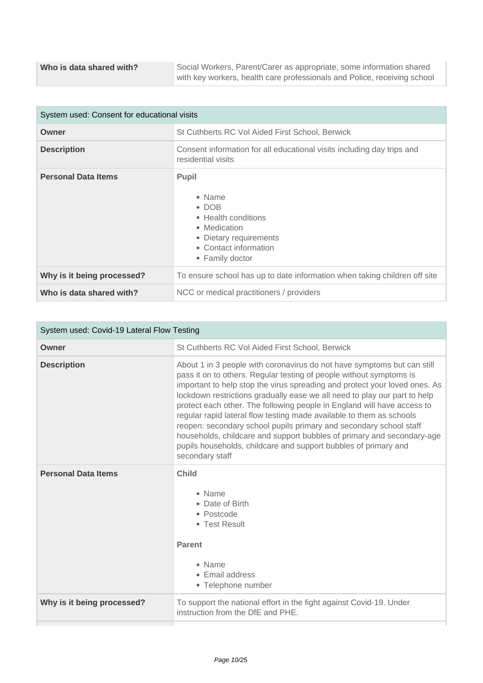| System used: Consent for educational visits |                                                                                                                                                              |
|---------------------------------------------|--------------------------------------------------------------------------------------------------------------------------------------------------------------|
| Owner                                       | St Cuthberts RC Vol Aided First School, Berwick                                                                                                              |
| <b>Description</b>                          | Consent information for all educational visits including day trips and<br>residential visits                                                                 |
| <b>Personal Data Items</b>                  | <b>Pupil</b><br>$\bullet$ Name<br>$\bullet$ DOB<br>• Health conditions<br>• Medication<br>• Dietary requirements<br>• Contact information<br>• Family doctor |
| Why is it being processed?                  | To ensure school has up to date information when taking children off site                                                                                    |
| Who is data shared with?                    | NCC or medical practitioners / providers                                                                                                                     |

| System used: Covid-19 Lateral Flow Testing |                                                                                                                                                                                                                                                                                                                                                                                                                                                                                                                                                                                                                                                                                                    |
|--------------------------------------------|----------------------------------------------------------------------------------------------------------------------------------------------------------------------------------------------------------------------------------------------------------------------------------------------------------------------------------------------------------------------------------------------------------------------------------------------------------------------------------------------------------------------------------------------------------------------------------------------------------------------------------------------------------------------------------------------------|
| Owner                                      | St Cuthberts RC Vol Aided First School, Berwick                                                                                                                                                                                                                                                                                                                                                                                                                                                                                                                                                                                                                                                    |
| <b>Description</b>                         | About 1 in 3 people with coronavirus do not have symptoms but can still<br>pass it on to others. Regular testing of people without symptoms is<br>important to help stop the virus spreading and protect your loved ones. As<br>lockdown restrictions gradually ease we all need to play our part to help<br>protect each other. The following people in England will have access to<br>regular rapid lateral flow testing made available to them as schools<br>reopen: secondary school pupils primary and secondary school staff<br>households, childcare and support bubbles of primary and secondary-age<br>pupils households, childcare and support bubbles of primary and<br>secondary staff |
| <b>Personal Data Items</b>                 | <b>Child</b><br>• Name<br>• Date of Birth<br>• Postcode<br>• Test Result<br><b>Parent</b><br>• Name<br>• Email address<br>• Telephone number                                                                                                                                                                                                                                                                                                                                                                                                                                                                                                                                                       |
| Why is it being processed?                 | To support the national effort in the fight against Covid-19. Under<br>instruction from the DfE and PHE.                                                                                                                                                                                                                                                                                                                                                                                                                                                                                                                                                                                           |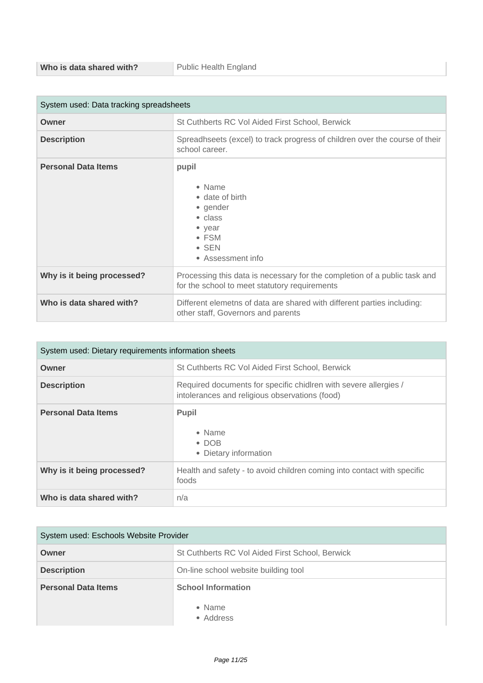| System used: Data tracking spreadsheets |                                                                                                                                    |
|-----------------------------------------|------------------------------------------------------------------------------------------------------------------------------------|
| Owner                                   | St Cuthberts RC Vol Aided First School, Berwick                                                                                    |
| <b>Description</b>                      | Spreadhseets (excel) to track progress of children over the course of their<br>school career.                                      |
| <b>Personal Data Items</b>              | pupil<br>• Name<br>• date of birth<br>• gender<br>• class<br>$\bullet$ year<br>$\bullet$ FSM<br>$\bullet$ SEN<br>• Assessment info |
| Why is it being processed?              | Processing this data is necessary for the completion of a public task and<br>for the school to meet statutory requirements         |
| Who is data shared with?                | Different elemetns of data are shared with different parties including:<br>other staff, Governors and parents                      |

| System used: Dietary requirements information sheets |                                                                                                                    |
|------------------------------------------------------|--------------------------------------------------------------------------------------------------------------------|
| Owner                                                | St Cuthberts RC Vol Aided First School, Berwick                                                                    |
| <b>Description</b>                                   | Required documents for specific chidIren with severe allergies /<br>intolerances and religious observations (food) |
| <b>Personal Data Items</b>                           | <b>Pupil</b><br>• Name<br>$\bullet$ DOB<br>• Dietary information                                                   |
| Why is it being processed?                           | Health and safety - to avoid children coming into contact with specific<br>foods                                   |
| Who is data shared with?                             | n/a                                                                                                                |

| System used: Eschools Website Provider |                                                  |
|----------------------------------------|--------------------------------------------------|
| Owner                                  | St Cuthberts RC Vol Aided First School, Berwick  |
| <b>Description</b>                     | On-line school website building tool             |
| <b>Personal Data Items</b>             | <b>School Information</b><br>• Name<br>• Address |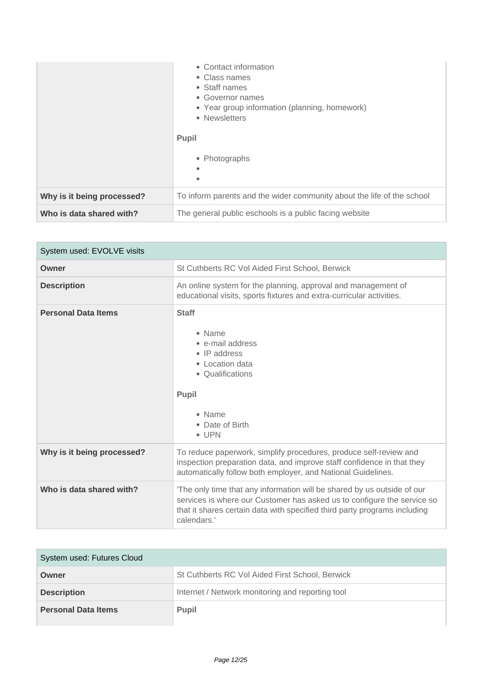|                            | • Contact information<br>• Class names<br>• Staff names<br>• Governor names<br>• Year group information (planning, homework)<br>• Newsletters<br>Pupil<br>• Photographs<br>٠<br>$\bullet$ |
|----------------------------|-------------------------------------------------------------------------------------------------------------------------------------------------------------------------------------------|
| Why is it being processed? | To inform parents and the wider community about the life of the school                                                                                                                    |
| Who is data shared with?   | The general public eschools is a public facing website                                                                                                                                    |

| System used: EVOLVE visits |                                                                                                                                                                                                                                                |
|----------------------------|------------------------------------------------------------------------------------------------------------------------------------------------------------------------------------------------------------------------------------------------|
| Owner                      | St Cuthberts RC Vol Aided First School, Berwick                                                                                                                                                                                                |
| <b>Description</b>         | An online system for the planning, approval and management of<br>educational visits, sports fixtures and extra-curricular activities.                                                                                                          |
| <b>Personal Data Items</b> | <b>Staff</b><br>• Name<br>• e-mail address<br>$\bullet$ IP address<br>• Location data<br>• Qualifications<br><b>Pupil</b><br>• Name<br>• Date of Birth<br>$\bullet$ UPN                                                                        |
| Why is it being processed? | To reduce paperwork, simplify procedures, produce self-review and<br>inspection preparation data, and improve staff confidence in that they<br>automatically follow both employer, and National Guidelines.                                    |
| Who is data shared with?   | 'The only time that any information will be shared by us outside of our<br>services is where our Customer has asked us to configure the service so<br>that it shares certain data with specified third party programs including<br>calendars.' |

| System used: Futures Cloud |                                                  |
|----------------------------|--------------------------------------------------|
| Owner                      | St Cuthberts RC Vol Aided First School, Berwick  |
| <b>Description</b>         | Internet / Network monitoring and reporting tool |
| <b>Personal Data Items</b> | <b>Pupil</b>                                     |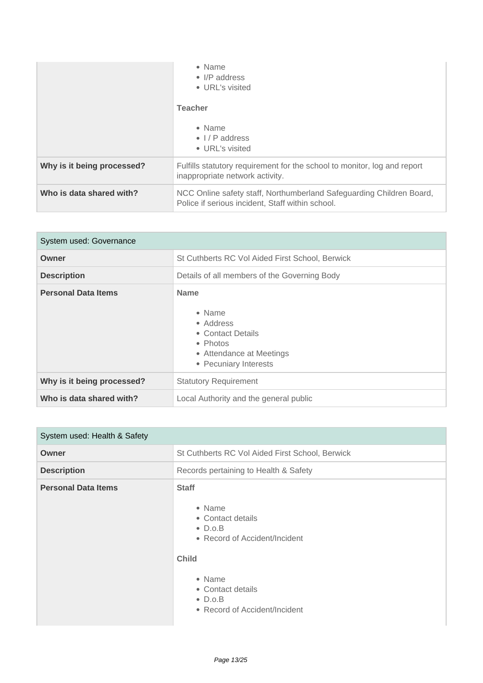|                            | $\bullet$ Name<br>$\bullet$ I/P address<br>• URL's visited<br><b>Teacher</b><br>$\bullet$ Name<br>$\bullet$ $\frac{1}{P}$ address<br>• URL's visited |
|----------------------------|------------------------------------------------------------------------------------------------------------------------------------------------------|
| Why is it being processed? | Fulfills statutory requirement for the school to monitor, log and report<br>inappropriate network activity.                                          |
| Who is data shared with?   | NCC Online safety staff, Northumberland Safeguarding Children Board,<br>Police if serious incident, Staff within school.                             |

| System used: Governance    |                                                                                                                                  |
|----------------------------|----------------------------------------------------------------------------------------------------------------------------------|
| Owner                      | St Cuthberts RC Vol Aided First School, Berwick                                                                                  |
| <b>Description</b>         | Details of all members of the Governing Body                                                                                     |
| <b>Personal Data Items</b> | <b>Name</b><br>• Name<br>• Address<br>• Contact Details<br>$\bullet$ Photos<br>• Attendance at Meetings<br>• Pecuniary Interests |
| Why is it being processed? | <b>Statutory Requirement</b>                                                                                                     |
| Who is data shared with?   | Local Authority and the general public                                                                                           |

| System used: Health & Safety |                                                                                                                                                                                                    |
|------------------------------|----------------------------------------------------------------------------------------------------------------------------------------------------------------------------------------------------|
| Owner                        | St Cuthberts RC Vol Aided First School, Berwick                                                                                                                                                    |
| <b>Description</b>           | Records pertaining to Health & Safety                                                                                                                                                              |
| <b>Personal Data Items</b>   | <b>Staff</b><br>• Name<br>• Contact details<br>$\bullet$ D.o.B<br>• Record of Accident/Incident<br><b>Child</b><br>• Name<br>• Contact details<br>$\bullet$ D.o.B<br>• Record of Accident/Incident |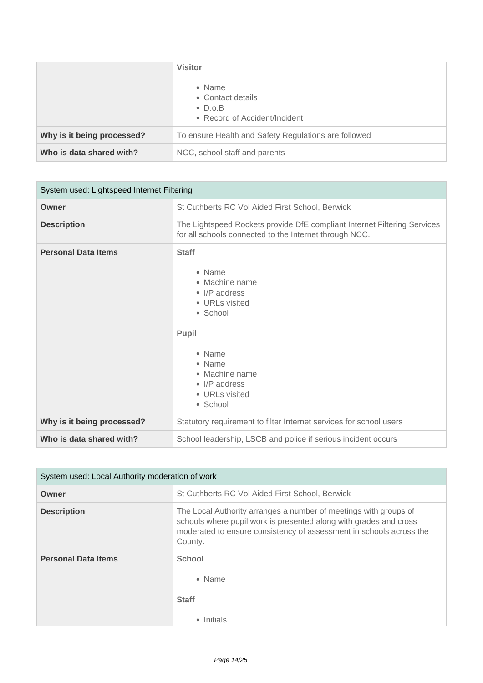|                            | <b>Visitor</b><br>• Name<br>• Contact details<br>$\bullet$ D.o.B<br>• Record of Accident/Incident |
|----------------------------|---------------------------------------------------------------------------------------------------|
| Why is it being processed? | To ensure Health and Safety Regulations are followed                                              |
| Who is data shared with?   | NCC, school staff and parents                                                                     |

| System used: Lightspeed Internet Filtering |                                                                                                                                                                                                              |
|--------------------------------------------|--------------------------------------------------------------------------------------------------------------------------------------------------------------------------------------------------------------|
| Owner                                      | St Cuthberts RC Vol Aided First School, Berwick                                                                                                                                                              |
| <b>Description</b>                         | The Lightspeed Rockets provide DfE compliant Internet Filtering Services<br>for all schools connected to the Internet through NCC.                                                                           |
| <b>Personal Data Items</b>                 | <b>Staff</b><br>• Name<br>• Machine name<br>$\bullet$ I/P address<br>• URLs visited<br>• School<br><b>Pupil</b><br>• Name<br>• Name<br>• Machine name<br>$\bullet$ I/P address<br>• URLs visited<br>• School |
| Why is it being processed?                 | Statutory requirement to filter Internet services for school users                                                                                                                                           |
| Who is data shared with?                   | School leadership, LSCB and police if serious incident occurs                                                                                                                                                |

| System used: Local Authority moderation of work |                                                                                                                                                                                                                         |
|-------------------------------------------------|-------------------------------------------------------------------------------------------------------------------------------------------------------------------------------------------------------------------------|
| Owner                                           | St Cuthberts RC Vol Aided First School, Berwick                                                                                                                                                                         |
| <b>Description</b>                              | The Local Authority arranges a number of meetings with groups of<br>schools where pupil work is presented along with grades and cross<br>moderated to ensure consistency of assessment in schools across the<br>County. |
| <b>Personal Data Items</b>                      | <b>School</b><br>• Name<br><b>Staff</b><br>Initials<br>٠                                                                                                                                                                |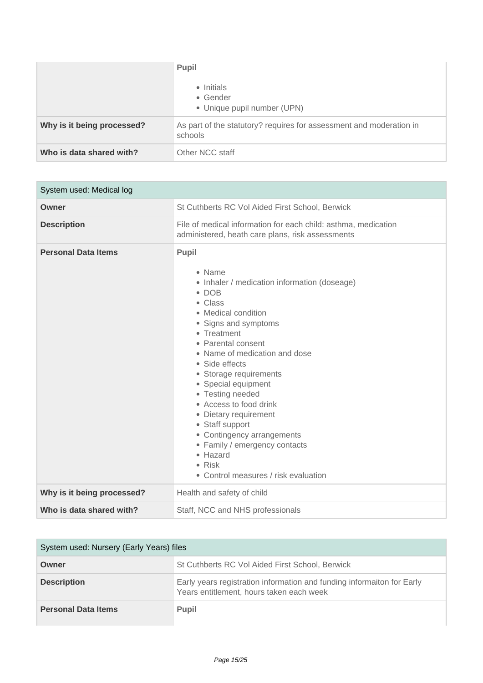|                            | Pupil<br>• Initials<br>• Gender<br>• Unique pupil number (UPN)                 |
|----------------------------|--------------------------------------------------------------------------------|
| Why is it being processed? | As part of the statutory? requires for assessment and moderation in<br>schools |
| Who is data shared with?   | Other NCC staff                                                                |

| System used: Medical log   |                                                                                                                                                                                                                                                                                                                                                                                                                                                                                                                   |
|----------------------------|-------------------------------------------------------------------------------------------------------------------------------------------------------------------------------------------------------------------------------------------------------------------------------------------------------------------------------------------------------------------------------------------------------------------------------------------------------------------------------------------------------------------|
| Owner                      | St Cuthberts RC Vol Aided First School, Berwick                                                                                                                                                                                                                                                                                                                                                                                                                                                                   |
| <b>Description</b>         | File of medical information for each child: asthma, medication<br>administered, heath care plans, risk assessments                                                                                                                                                                                                                                                                                                                                                                                                |
| <b>Personal Data Items</b> | <b>Pupil</b><br>• Name<br>• Inhaler / medication information (doseage)<br>$\bullet$ DOB<br>• Class<br>• Medical condition<br>• Signs and symptoms<br>• Treatment<br>• Parental consent<br>• Name of medication and dose<br>• Side effects<br>• Storage requirements<br>• Special equipment<br>• Testing needed<br>• Access to food drink<br>• Dietary requirement<br>• Staff support<br>• Contingency arrangements<br>• Family / emergency contacts<br>• Hazard<br>• Risk<br>• Control measures / risk evaluation |
| Why is it being processed? | Health and safety of child                                                                                                                                                                                                                                                                                                                                                                                                                                                                                        |
| Who is data shared with?   | Staff, NCC and NHS professionals                                                                                                                                                                                                                                                                                                                                                                                                                                                                                  |

| System used: Nursery (Early Years) files |                                                                                                                    |
|------------------------------------------|--------------------------------------------------------------------------------------------------------------------|
| Owner                                    | St Cuthberts RC Vol Aided First School, Berwick                                                                    |
| <b>Description</b>                       | Early years registration information and funding informaiton for Early<br>Years entitlement, hours taken each week |
| <b>Personal Data Items</b>               | <b>Pupil</b>                                                                                                       |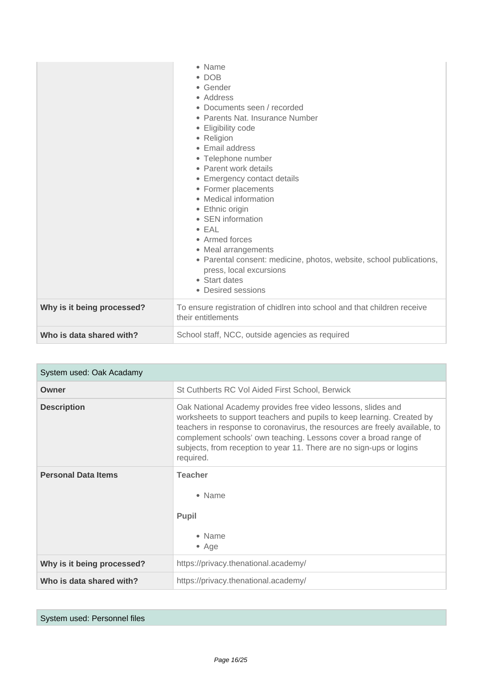|                            | • Name<br>$\bullet$ DOB<br>• Gender<br>• Address<br>• Documents seen / recorded<br>• Parents Nat. Insurance Number<br>• Eligibility code<br>• Religion<br>• Email address<br>• Telephone number<br>• Parent work details<br>• Emergency contact details<br>• Former placements<br>• Medical information<br>• Ethnic origin<br>• SEN information<br>$\bullet$ EAL<br>• Armed forces<br>• Meal arrangements<br>• Parental consent: medicine, photos, website, school publications,<br>press, local excursions<br>• Start dates<br>• Desired sessions |
|----------------------------|----------------------------------------------------------------------------------------------------------------------------------------------------------------------------------------------------------------------------------------------------------------------------------------------------------------------------------------------------------------------------------------------------------------------------------------------------------------------------------------------------------------------------------------------------|
| Why is it being processed? | To ensure registration of chidlren into school and that children receive<br>their entitlements                                                                                                                                                                                                                                                                                                                                                                                                                                                     |
| Who is data shared with?   | School staff, NCC, outside agencies as required                                                                                                                                                                                                                                                                                                                                                                                                                                                                                                    |

| System used: Oak Acadamy   |                                                                                                                                                                                                                                                                                                                                                                                |
|----------------------------|--------------------------------------------------------------------------------------------------------------------------------------------------------------------------------------------------------------------------------------------------------------------------------------------------------------------------------------------------------------------------------|
| Owner                      | St Cuthberts RC Vol Aided First School, Berwick                                                                                                                                                                                                                                                                                                                                |
| <b>Description</b>         | Oak National Academy provides free video lessons, slides and<br>worksheets to support teachers and pupils to keep learning. Created by<br>teachers in response to coronavirus, the resources are freely available, to<br>complement schools' own teaching. Lessons cover a broad range of<br>subjects, from reception to year 11. There are no sign-ups or logins<br>required. |
| <b>Personal Data Items</b> | <b>Teacher</b><br>• Name<br><b>Pupil</b><br>• Name<br>$\bullet$ Age                                                                                                                                                                                                                                                                                                            |
| Why is it being processed? | https://privacy.thenational.academy/                                                                                                                                                                                                                                                                                                                                           |
| Who is data shared with?   | https://privacy.thenational.academy/                                                                                                                                                                                                                                                                                                                                           |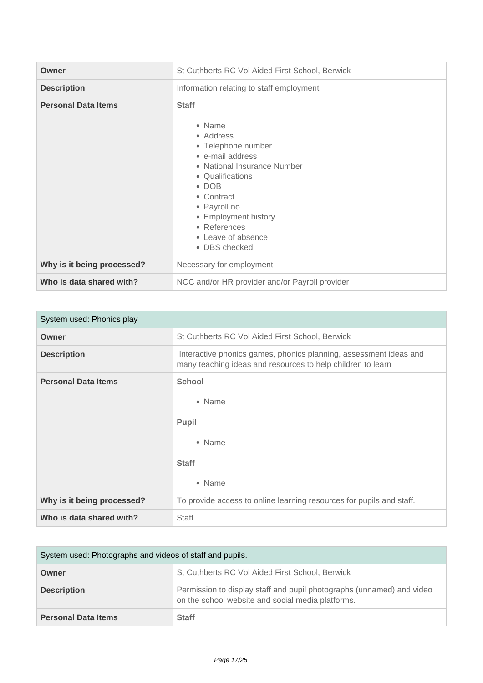| Owner                      | St Cuthberts RC Vol Aided First School, Berwick                                                                                                                                                                                                                 |
|----------------------------|-----------------------------------------------------------------------------------------------------------------------------------------------------------------------------------------------------------------------------------------------------------------|
| <b>Description</b>         | Information relating to staff employment                                                                                                                                                                                                                        |
| <b>Personal Data Items</b> | <b>Staff</b><br>• Name<br>• Address<br>• Telephone number<br>• e-mail address<br>• National Insurance Number<br>• Qualifications<br>$\bullet$ DOB<br>• Contract<br>• Payroll no.<br>• Employment history<br>• References<br>• Leave of absence<br>• DBS checked |
| Why is it being processed? | Necessary for employment                                                                                                                                                                                                                                        |
| Who is data shared with?   | NCC and/or HR provider and/or Payroll provider                                                                                                                                                                                                                  |

| System used: Phonics play  |                                                                                                                                  |
|----------------------------|----------------------------------------------------------------------------------------------------------------------------------|
| Owner                      | St Cuthberts RC Vol Aided First School, Berwick                                                                                  |
| <b>Description</b>         | Interactive phonics games, phonics planning, assessment ideas and<br>many teaching ideas and resources to help children to learn |
| <b>Personal Data Items</b> | <b>School</b><br>• Name<br><b>Pupil</b><br>• Name<br><b>Staff</b><br>• Name                                                      |
| Why is it being processed? | To provide access to online learning resources for pupils and staff.                                                             |
| Who is data shared with?   | <b>Staff</b>                                                                                                                     |

| System used: Photographs and videos of staff and pupils. |                                                                                                                            |
|----------------------------------------------------------|----------------------------------------------------------------------------------------------------------------------------|
| Owner                                                    | St Cuthberts RC Vol Aided First School, Berwick                                                                            |
| <b>Description</b>                                       | Permission to display staff and pupil photographs (unnamed) and video<br>on the school website and social media platforms. |
| <b>Personal Data Items</b>                               | <b>Staff</b>                                                                                                               |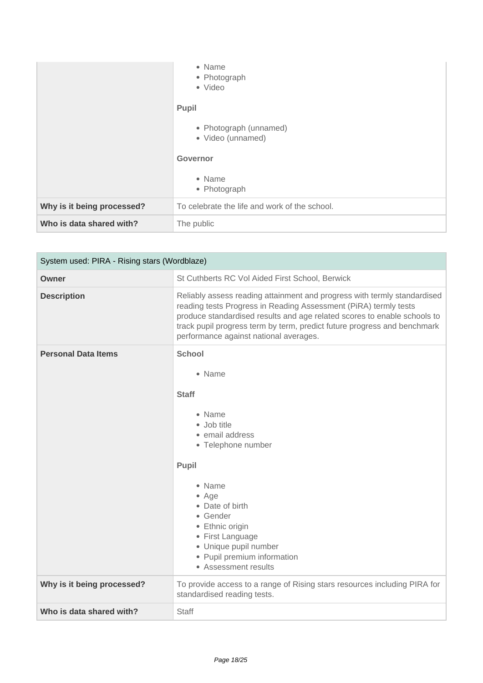|                            | • Name<br>• Photograph<br>• Video<br><b>Pupil</b> |
|----------------------------|---------------------------------------------------|
|                            | • Photograph (unnamed)<br>• Video (unnamed)       |
|                            | Governor                                          |
|                            | • Name<br>• Photograph                            |
| Why is it being processed? | To celebrate the life and work of the school.     |
| Who is data shared with?   | The public                                        |

| System used: PIRA - Rising stars (Wordblaze) |                                                                                                                                                                                                                                                                                                                                                |
|----------------------------------------------|------------------------------------------------------------------------------------------------------------------------------------------------------------------------------------------------------------------------------------------------------------------------------------------------------------------------------------------------|
| Owner                                        | St Cuthberts RC Vol Aided First School, Berwick                                                                                                                                                                                                                                                                                                |
| <b>Description</b>                           | Reliably assess reading attainment and progress with termly standardised<br>reading tests Progress in Reading Assessment (PiRA) termly tests<br>produce standardised results and age related scores to enable schools to<br>track pupil progress term by term, predict future progress and benchmark<br>performance against national averages. |
| <b>Personal Data Items</b>                   | <b>School</b><br>• Name<br><b>Staff</b><br>• Name<br>• Job title<br>• email address<br>• Telephone number<br><b>Pupil</b><br>• Name<br>• Age<br>• Date of birth<br>• Gender<br>• Ethnic origin<br>• First Language<br>· Unique pupil number<br>• Pupil premium information<br>• Assessment results                                             |
|                                              |                                                                                                                                                                                                                                                                                                                                                |
| Why is it being processed?                   | To provide access to a range of Rising stars resources including PIRA for<br>standardised reading tests.                                                                                                                                                                                                                                       |
| Who is data shared with?                     | <b>Staff</b>                                                                                                                                                                                                                                                                                                                                   |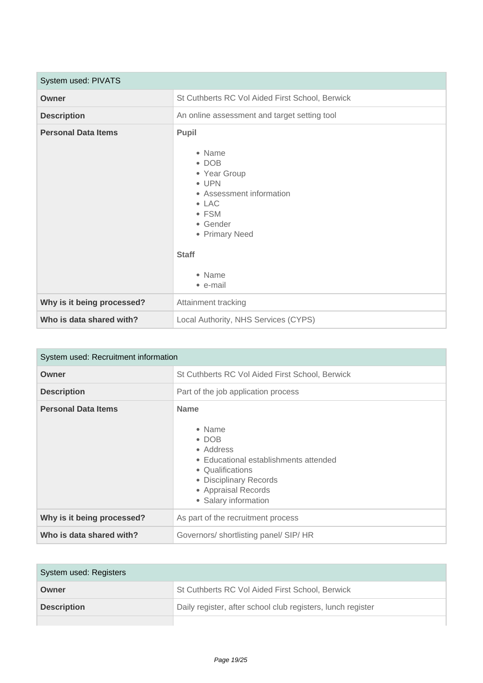| System used: PIVATS        |                                                                                                                                                                                             |
|----------------------------|---------------------------------------------------------------------------------------------------------------------------------------------------------------------------------------------|
| Owner                      | St Cuthberts RC Vol Aided First School, Berwick                                                                                                                                             |
| <b>Description</b>         | An online assessment and target setting tool                                                                                                                                                |
| <b>Personal Data Items</b> | Pupil<br>• Name<br>$\bullet$ DOB<br>• Year Group<br>$\bullet$ UPN<br>• Assessment information<br>$\bullet$ LAC<br>• FSM<br>• Gender<br>• Primary Need<br><b>Staff</b><br>• Name<br>• e-mail |
| Why is it being processed? | Attainment tracking                                                                                                                                                                         |
| Who is data shared with?   | Local Authority, NHS Services (CYPS)                                                                                                                                                        |

| System used: Recruitment information |                                                                                                                                                                                           |
|--------------------------------------|-------------------------------------------------------------------------------------------------------------------------------------------------------------------------------------------|
| Owner                                | St Cuthberts RC Vol Aided First School, Berwick                                                                                                                                           |
| <b>Description</b>                   | Part of the job application process                                                                                                                                                       |
| <b>Personal Data Items</b>           | <b>Name</b><br>• Name<br>$\bullet$ DOB<br>• Address<br>• Educational establishments attended<br>• Qualifications<br>• Disciplinary Records<br>• Appraisal Records<br>• Salary information |
| Why is it being processed?           | As part of the recruitment process                                                                                                                                                        |
| Who is data shared with?             | Governors/shortlisting panel/SIP/HR                                                                                                                                                       |

| System used: Registers |                                                             |
|------------------------|-------------------------------------------------------------|
| Owner                  | St Cuthberts RC Vol Aided First School, Berwick             |
| <b>Description</b>     | Daily register, after school club registers, lunch register |
|                        |                                                             |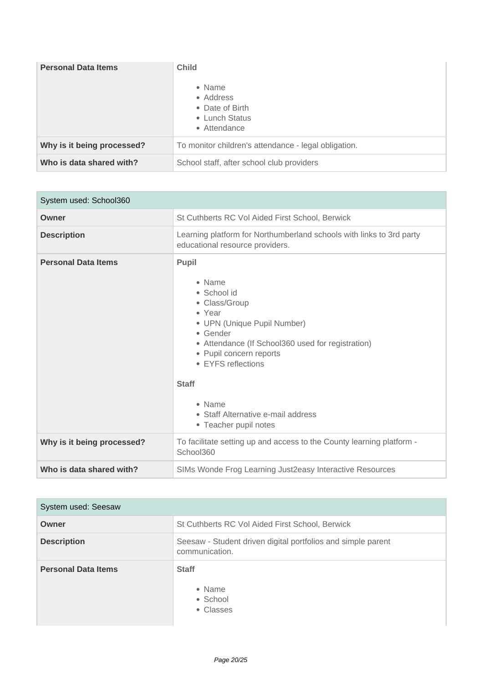| <b>Personal Data Items</b> | <b>Child</b><br>• Name<br>• Address<br>• Date of Birth<br>• Lunch Status<br>• Attendance |
|----------------------------|------------------------------------------------------------------------------------------|
| Why is it being processed? | To monitor children's attendance - legal obligation.                                     |
| Who is data shared with?   | School staff, after school club providers                                                |

| System used: School360     |                                                                                                                                                                                                                                                                                                     |
|----------------------------|-----------------------------------------------------------------------------------------------------------------------------------------------------------------------------------------------------------------------------------------------------------------------------------------------------|
| Owner                      | St Cuthberts RC Vol Aided First School, Berwick                                                                                                                                                                                                                                                     |
| <b>Description</b>         | Learning platform for Northumberland schools with links to 3rd party<br>educational resource providers.                                                                                                                                                                                             |
| <b>Personal Data Items</b> | Pupil<br>• Name<br>• School id<br>• Class/Group<br>• Year<br>• UPN (Unique Pupil Number)<br>• Gender<br>• Attendance (If School360 used for registration)<br>• Pupil concern reports<br>• EYFS reflections<br><b>Staff</b><br>• Name<br>• Staff Alternative e-mail address<br>• Teacher pupil notes |
| Why is it being processed? | To facilitate setting up and access to the County learning platform -<br>School360                                                                                                                                                                                                                  |
| Who is data shared with?   | SIMs Wonde Frog Learning Just2easy Interactive Resources                                                                                                                                                                                                                                            |

| System used: Seesaw        |                                                                                |
|----------------------------|--------------------------------------------------------------------------------|
| Owner                      | St Cuthberts RC Vol Aided First School, Berwick                                |
| <b>Description</b>         | Seesaw - Student driven digital portfolios and simple parent<br>communication. |
| <b>Personal Data Items</b> | <b>Staff</b><br>• Name<br>• School<br>• Classes                                |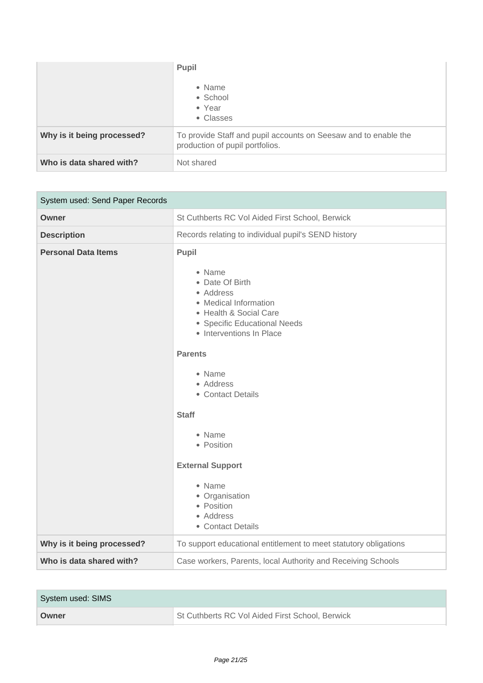|                            | Pupil<br>• Name<br>• School<br>• Year<br>• Classes                                                 |
|----------------------------|----------------------------------------------------------------------------------------------------|
| Why is it being processed? | To provide Staff and pupil accounts on Seesaw and to enable the<br>production of pupil portfolios. |
| Who is data shared with?   | Not shared                                                                                         |

| System used: Send Paper Records |                                                                                                                                                                                                                                                                                                                                                                             |
|---------------------------------|-----------------------------------------------------------------------------------------------------------------------------------------------------------------------------------------------------------------------------------------------------------------------------------------------------------------------------------------------------------------------------|
| <b>Owner</b>                    | St Cuthberts RC Vol Aided First School, Berwick                                                                                                                                                                                                                                                                                                                             |
| <b>Description</b>              | Records relating to individual pupil's SEND history                                                                                                                                                                                                                                                                                                                         |
| <b>Personal Data Items</b>      | Pupil<br>• Name<br>• Date Of Birth<br>• Address<br>• Medical Information<br>• Health & Social Care<br>• Specific Educational Needs<br>• Interventions In Place<br><b>Parents</b><br>• Name<br>• Address<br>• Contact Details<br><b>Staff</b><br>• Name<br>• Position<br><b>External Support</b><br>• Name<br>• Organisation<br>• Position<br>• Address<br>• Contact Details |
| Why is it being processed?      | To support educational entitlement to meet statutory obligations                                                                                                                                                                                                                                                                                                            |
| Who is data shared with?        | Case workers, Parents, local Authority and Receiving Schools                                                                                                                                                                                                                                                                                                                |

| System used: SIMS |                                                 |
|-------------------|-------------------------------------------------|
| Owner             | St Cuthberts RC Vol Aided First School, Berwick |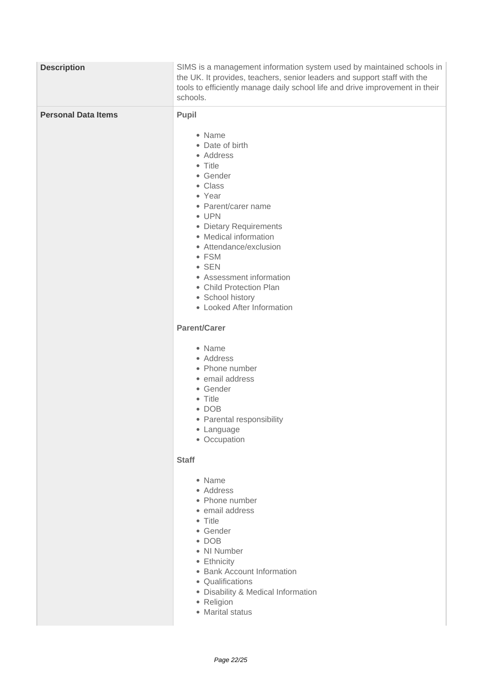| <b>Description</b>         | SIMS is a management information system used by maintained schools in<br>the UK. It provides, teachers, senior leaders and support staff with the<br>tools to efficiently manage daily school life and drive improvement in their<br>schools.                                                                                                                                                                                                         |
|----------------------------|-------------------------------------------------------------------------------------------------------------------------------------------------------------------------------------------------------------------------------------------------------------------------------------------------------------------------------------------------------------------------------------------------------------------------------------------------------|
| <b>Personal Data Items</b> | Pupil<br>• Name<br>• Date of birth<br>• Address<br>• Title<br>• Gender<br>• Class<br>• Year<br>• Parent/carer name<br>• UPN<br>• Dietary Requirements<br>• Medical information<br>• Attendance/exclusion<br>• FSM<br>$\bullet$ SEN<br>• Assessment information<br>• Child Protection Plan<br>• School history<br>• Looked After Information<br><b>Parent/Carer</b><br>• Name<br>• Address<br>• Phone number<br>· email address<br>• Gender<br>• Title |
|                            | $\bullet$ DOB<br>• Parental responsibility<br>• Language<br>• Occupation                                                                                                                                                                                                                                                                                                                                                                              |
|                            | <b>Staff</b><br>• Name<br>• Address<br>• Phone number<br>• email address<br>• Title<br>• Gender<br>$\bullet$ DOB<br>• NI Number<br>• Ethnicity<br>• Bank Account Information<br>• Qualifications<br>· Disability & Medical Information<br>• Religion<br>• Marital status                                                                                                                                                                              |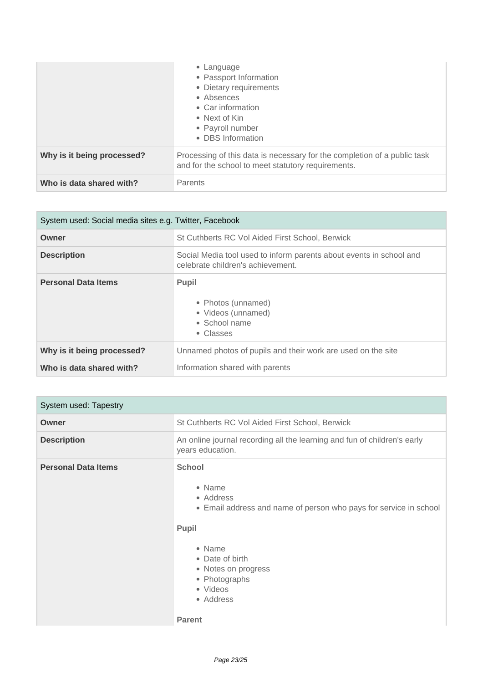|                            | • Language<br>• Passport Information<br>• Dietary requirements<br>• Absences<br>• Car information<br>• Next of Kin<br>• Payroll number<br>• DBS Information |
|----------------------------|-------------------------------------------------------------------------------------------------------------------------------------------------------------|
| Why is it being processed? | Processing of this data is necessary for the completion of a public task<br>and for the school to meet statutory requirements.                              |
| Who is data shared with?   | Parents                                                                                                                                                     |

| System used: Social media sites e.g. Twitter, Facebook |                                                                                                          |
|--------------------------------------------------------|----------------------------------------------------------------------------------------------------------|
| Owner                                                  | St Cuthberts RC Vol Aided First School, Berwick                                                          |
| <b>Description</b>                                     | Social Media tool used to inform parents about events in school and<br>celebrate children's achievement. |
| <b>Personal Data Items</b>                             | <b>Pupil</b><br>• Photos (unnamed)<br>• Videos (unnamed)<br>$\bullet$ School name<br>• Classes           |
| Why is it being processed?                             | Unnamed photos of pupils and their work are used on the site                                             |
| Who is data shared with?                               | Information shared with parents                                                                          |

| System used: Tapestry      |                                                                                                                                                                                                                                   |
|----------------------------|-----------------------------------------------------------------------------------------------------------------------------------------------------------------------------------------------------------------------------------|
| Owner                      | St Cuthberts RC Vol Aided First School, Berwick                                                                                                                                                                                   |
| <b>Description</b>         | An online journal recording all the learning and fun of children's early<br>years education.                                                                                                                                      |
| <b>Personal Data Items</b> | <b>School</b><br>• Name<br>• Address<br>• Email address and name of person who pays for service in school<br>Pupil<br>• Name<br>• Date of birth<br>• Notes on progress<br>• Photographs<br>• Videos<br>• Address<br><b>Parent</b> |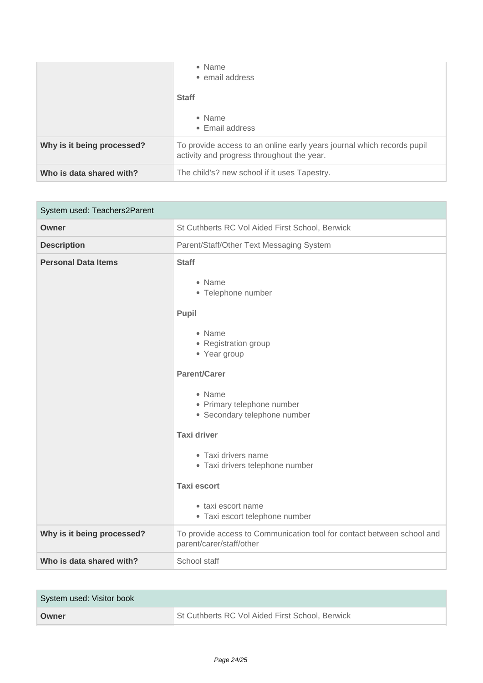|                            | • Name<br>• email address<br><b>Staff</b><br>$\bullet$ Name<br>$\bullet$ Email address                               |
|----------------------------|----------------------------------------------------------------------------------------------------------------------|
| Why is it being processed? | To provide access to an online early years journal which records pupil<br>activity and progress throughout the year. |
| Who is data shared with?   | The child's? new school if it uses Tapestry.                                                                         |

| System used: Teachers2Parent |                                                                                                                                                                                                                                                                                                                                                                      |
|------------------------------|----------------------------------------------------------------------------------------------------------------------------------------------------------------------------------------------------------------------------------------------------------------------------------------------------------------------------------------------------------------------|
| Owner                        | St Cuthberts RC Vol Aided First School, Berwick                                                                                                                                                                                                                                                                                                                      |
| <b>Description</b>           | Parent/Staff/Other Text Messaging System                                                                                                                                                                                                                                                                                                                             |
| <b>Personal Data Items</b>   | <b>Staff</b><br>• Name<br>• Telephone number<br>Pupil<br>• Name<br>• Registration group<br>• Year group<br><b>Parent/Carer</b><br>• Name<br>• Primary telephone number<br>· Secondary telephone number<br><b>Taxi driver</b><br>• Taxi drivers name<br>· Taxi drivers telephone number<br><b>Taxi escort</b><br>• taxi escort name<br>• Taxi escort telephone number |
| Why is it being processed?   | To provide access to Communication tool for contact between school and<br>parent/carer/staff/other                                                                                                                                                                                                                                                                   |
| Who is data shared with?     | School staff                                                                                                                                                                                                                                                                                                                                                         |

| System used: Visitor book |                                                 |
|---------------------------|-------------------------------------------------|
| Owner                     | St Cuthberts RC Vol Aided First School, Berwick |